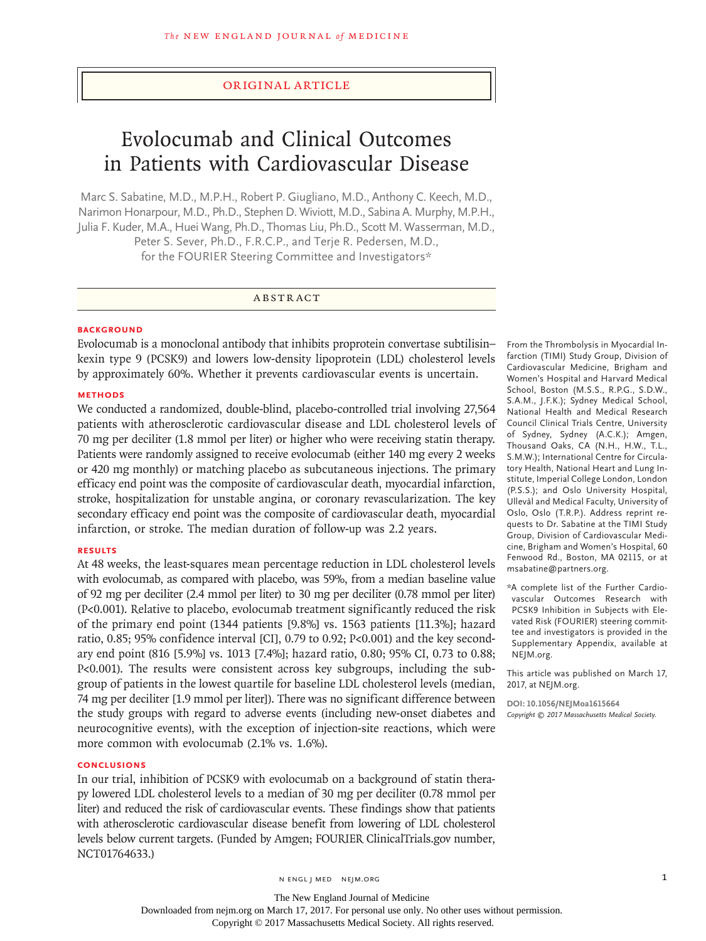# Original Article

# Evolocumab and Clinical Outcomes in Patients with Cardiovascular Disease

Marc S. Sabatine, M.D., M.P.H., Robert P. Giugliano, M.D., Anthony C. Keech, M.D., Narimon Honarpour, M.D., Ph.D., Stephen D. Wiviott, M.D., Sabina A. Murphy, M.P.H., Julia F. Kuder, M.A., Huei Wang, Ph.D., Thomas Liu, Ph.D., Scott M. Wasserman, M.D., Peter S. Sever, Ph.D., F.R.C.P., and Terje R. Pedersen, M.D., for the FOURIER Steering Committee and Investigators\*

# ABSTRACT

#### **BACKGROUND**

Evolocumab is a monoclonal antibody that inhibits proprotein convertase subtilisin– kexin type 9 (PCSK9) and lowers low-density lipoprotein (LDL) cholesterol levels by approximately 60%. Whether it prevents cardiovascular events is uncertain.

#### **METHODS**

We conducted a randomized, double-blind, placebo-controlled trial involving 27,564 patients with atherosclerotic cardiovascular disease and LDL cholesterol levels of 70 mg per deciliter (1.8 mmol per liter) or higher who were receiving statin therapy. Patients were randomly assigned to receive evolocumab (either 140 mg every 2 weeks or 420 mg monthly) or matching placebo as subcutaneous injections. The primary efficacy end point was the composite of cardiovascular death, myocardial infarction, stroke, hospitalization for unstable angina, or coronary revascularization. The key secondary efficacy end point was the composite of cardiovascular death, myocardial infarction, or stroke. The median duration of follow-up was 2.2 years.

#### **RESULTS**

At 48 weeks, the least-squares mean percentage reduction in LDL cholesterol levels with evolocumab, as compared with placebo, was 59%, from a median baseline value of 92 mg per deciliter (2.4 mmol per liter) to 30 mg per deciliter (0.78 mmol per liter) (P<0.001). Relative to placebo, evolocumab treatment significantly reduced the risk of the primary end point (1344 patients [9.8%] vs. 1563 patients [11.3%]; hazard ratio, 0.85; 95% confidence interval [CI], 0.79 to 0.92; P<0.001) and the key secondary end point (816 [5.9%] vs. 1013 [7.4%]; hazard ratio, 0.80; 95% CI, 0.73 to 0.88; P<0.001). The results were consistent across key subgroups, including the subgroup of patients in the lowest quartile for baseline LDL cholesterol levels (median, 74 mg per deciliter [1.9 mmol per liter]). There was no significant difference between the study groups with regard to adverse events (including new-onset diabetes and neurocognitive events), with the exception of injection-site reactions, which were more common with evolocumab (2.1% vs. 1.6%).

# **CONCLUSIONS**

In our trial, inhibition of PCSK9 with evolocumab on a background of statin therapy lowered LDL cholesterol levels to a median of 30 mg per deciliter (0.78 mmol per liter) and reduced the risk of cardiovascular events. These findings show that patients with atherosclerotic cardiovascular disease benefit from lowering of LDL cholesterol levels below current targets. (Funded by Amgen; FOURIER ClinicalTrials.gov number, NCT01764633.)

From the Thrombolysis in Myocardial Infarction (TIMI) Study Group, Division of Cardiovascular Medicine, Brigham and Women's Hospital and Harvard Medical School, Boston (M.S.S., R.P.G., S.D.W., S.A.M., J.F.K.); Sydney Medical School, National Health and Medical Research Council Clinical Trials Centre, University of Sydney, Sydney (A.C.K.); Amgen, Thousand Oaks, CA (N.H., H.W., T.L., S.M.W.); International Centre for Circulatory Health, National Heart and Lung Institute, Imperial College London, London (P.S.S.); and Oslo University Hospital, Ullevål and Medical Faculty, University of Oslo, Oslo (T.R.P.). Address reprint requests to Dr. Sabatine at the TIMI Study Group, Division of Cardiovascular Medicine, Brigham and Women's Hospital, 60 Fenwood Rd., Boston, MA 02115, or at msabatine@partners.org.

\*A complete list of the Further Cardiovascular Outcomes Research with PCSK9 Inhibition in Subjects with Elevated Risk (FOURIER) steering committee and investigators is provided in the Supplementary Appendix, available at NEJM.org.

This article was published on March 17, 2017, at NEJM.org.

**DOI: 10.1056/NEJMoa1615664** *Copyright © 2017 Massachusetts Medical Society.*

n engl j med nejm.org 1

The New England Journal of Medicine Downloaded from nejm.org on March 17, 2017. For personal use only. No other uses without permission.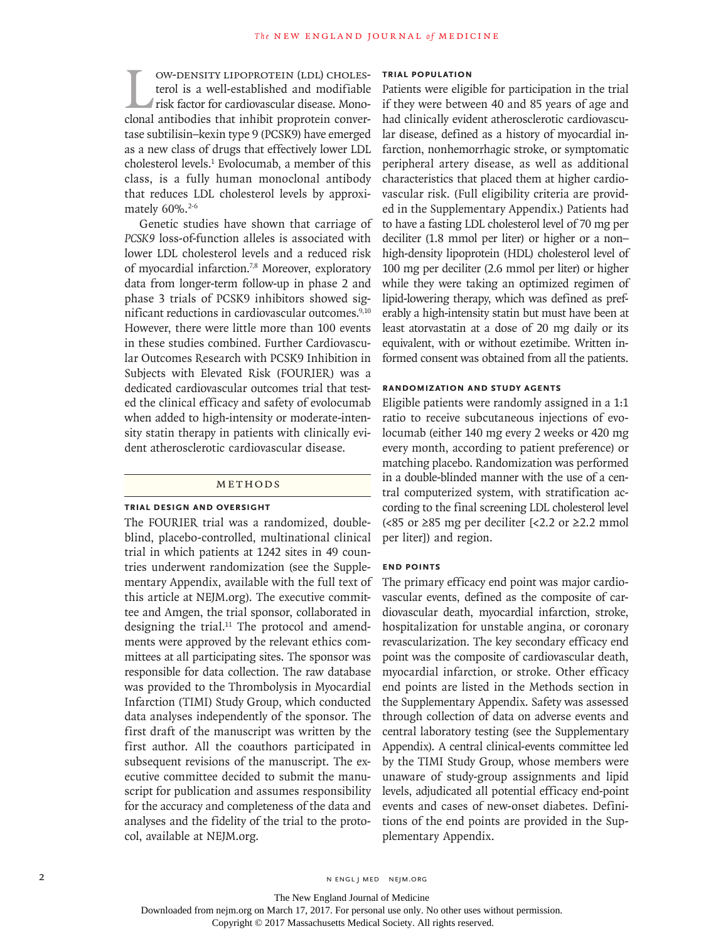UN-DENSITY LIPOPROTEIN (LDL) CHOLES-<br>terol is a well-established and modifiable<br>risk factor for cardiovascular disease. Mono-<br>clonal antibodies that inhibit proprotein converterol is a well-established and modifiable risk factor for cardiovascular disease. Monotase subtilisin–kexin type 9 (PCSK9) have emerged as a new class of drugs that effectively lower LDL cholesterol levels.<sup>1</sup> Evolocumab, a member of this class, is a fully human monoclonal antibody that reduces LDL cholesterol levels by approximately 60%.<sup>2-6</sup>

Genetic studies have shown that carriage of *PCSK9* loss-of-function alleles is associated with lower LDL cholesterol levels and a reduced risk of myocardial infarction.<sup>7,8</sup> Moreover, exploratory data from longer-term follow-up in phase 2 and phase 3 trials of PCSK9 inhibitors showed significant reductions in cardiovascular outcomes.<sup>9,10</sup> However, there were little more than 100 events in these studies combined. Further Cardiovascular Outcomes Research with PCSK9 Inhibition in Subjects with Elevated Risk (FOURIER) was a dedicated cardiovascular outcomes trial that tested the clinical efficacy and safety of evolocumab when added to high-intensity or moderate-intensity statin therapy in patients with clinically evident atherosclerotic cardiovascular disease.

## METHODS

# **Trial Design and Oversight**

The FOURIER trial was a randomized, doubleblind, placebo-controlled, multinational clinical trial in which patients at 1242 sites in 49 countries underwent randomization (see the Supplementary Appendix, available with the full text of this article at NEJM.org). The executive committee and Amgen, the trial sponsor, collaborated in designing the trial.<sup>11</sup> The protocol and amendments were approved by the relevant ethics committees at all participating sites. The sponsor was responsible for data collection. The raw database was provided to the Thrombolysis in Myocardial Infarction (TIMI) Study Group, which conducted data analyses independently of the sponsor. The first draft of the manuscript was written by the first author. All the coauthors participated in subsequent revisions of the manuscript. The executive committee decided to submit the manuscript for publication and assumes responsibility for the accuracy and completeness of the data and analyses and the fidelity of the trial to the protocol, available at NEJM.org.

#### **Trial Population**

Patients were eligible for participation in the trial if they were between 40 and 85 years of age and had clinically evident atherosclerotic cardiovascular disease, defined as a history of myocardial infarction, nonhemorrhagic stroke, or symptomatic peripheral artery disease, as well as additional characteristics that placed them at higher cardiovascular risk. (Full eligibility criteria are provided in the Supplementary Appendix.) Patients had to have a fasting LDL cholesterol level of 70 mg per deciliter (1.8 mmol per liter) or higher or a non– high-density lipoprotein (HDL) cholesterol level of 100 mg per deciliter (2.6 mmol per liter) or higher while they were taking an optimized regimen of lipid-lowering therapy, which was defined as preferably a high-intensity statin but must have been at least atorvastatin at a dose of 20 mg daily or its equivalent, with or without ezetimibe. Written informed consent was obtained from all the patients.

# **Randomization and Study Agents**

Eligible patients were randomly assigned in a 1:1 ratio to receive subcutaneous injections of evolocumab (either 140 mg every 2 weeks or 420 mg every month, according to patient preference) or matching placebo. Randomization was performed in a double-blinded manner with the use of a central computerized system, with stratification according to the final screening LDL cholesterol level (<85 or ≥85 mg per deciliter [<2.2 or ≥2.2 mmol per liter]) and region.

# **End Points**

The primary efficacy end point was major cardiovascular events, defined as the composite of cardiovascular death, myocardial infarction, stroke, hospitalization for unstable angina, or coronary revascularization. The key secondary efficacy end point was the composite of cardiovascular death, myocardial infarction, or stroke. Other efficacy end points are listed in the Methods section in the Supplementary Appendix. Safety was assessed through collection of data on adverse events and central laboratory testing (see the Supplementary Appendix). A central clinical-events committee led by the TIMI Study Group, whose members were unaware of study-group assignments and lipid levels, adjudicated all potential efficacy end-point events and cases of new-onset diabetes. Definitions of the end points are provided in the Supplementary Appendix.

Downloaded from nejm.org on March 17, 2017. For personal use only. No other uses without permission.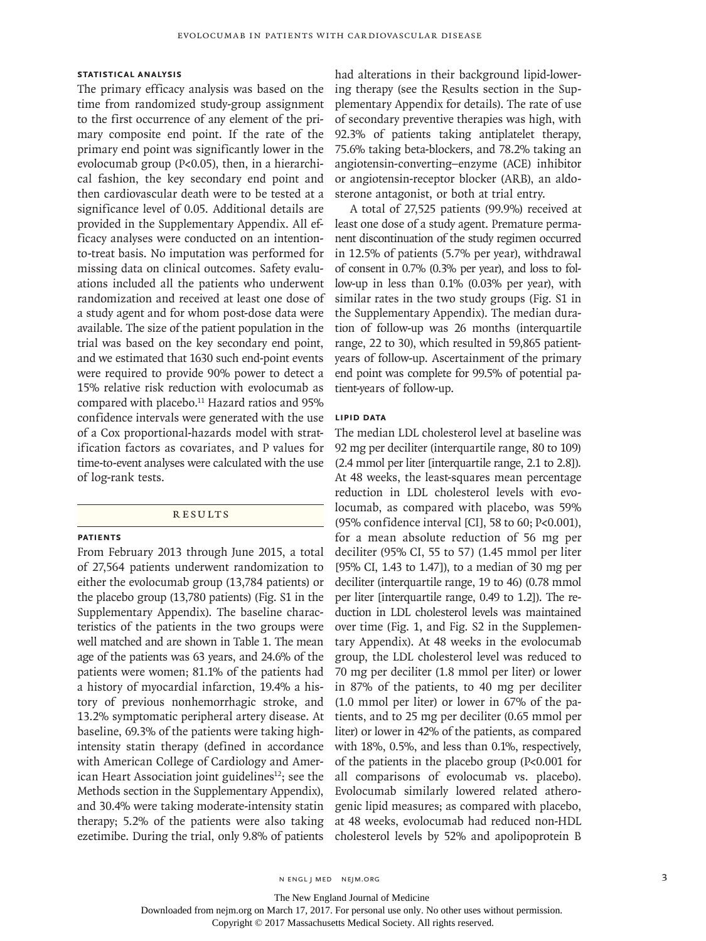# **Statistical Analysis**

The primary efficacy analysis was based on the time from randomized study-group assignment to the first occurrence of any element of the primary composite end point. If the rate of the primary end point was significantly lower in the evolocumab group (P<0.05), then, in a hierarchical fashion, the key secondary end point and then cardiovascular death were to be tested at a significance level of 0.05. Additional details are provided in the Supplementary Appendix. All efficacy analyses were conducted on an intentionto-treat basis. No imputation was performed for missing data on clinical outcomes. Safety evaluations included all the patients who underwent randomization and received at least one dose of a study agent and for whom post-dose data were available. The size of the patient population in the trial was based on the key secondary end point, and we estimated that 1630 such end-point events were required to provide 90% power to detect a 15% relative risk reduction with evolocumab as compared with placebo.<sup>11</sup> Hazard ratios and 95% confidence intervals were generated with the use of a Cox proportional-hazards model with stratification factors as covariates, and P values for time-to-event analyses were calculated with the use of log-rank tests.

#### **RESULTS**

#### **Patients**

From February 2013 through June 2015, a total of 27,564 patients underwent randomization to either the evolocumab group (13,784 patients) or the placebo group (13,780 patients) (Fig. S1 in the Supplementary Appendix). The baseline characteristics of the patients in the two groups were well matched and are shown in Table 1. The mean age of the patients was 63 years, and 24.6% of the patients were women; 81.1% of the patients had a history of myocardial infarction, 19.4% a history of previous nonhemorrhagic stroke, and 13.2% symptomatic peripheral artery disease. At baseline, 69.3% of the patients were taking highintensity statin therapy (defined in accordance with American College of Cardiology and American Heart Association joint guidelines<sup>12</sup>; see the Methods section in the Supplementary Appendix), and 30.4% were taking moderate-intensity statin therapy; 5.2% of the patients were also taking ezetimibe. During the trial, only 9.8% of patients

had alterations in their background lipid-lowering therapy (see the Results section in the Supplementary Appendix for details). The rate of use of secondary preventive therapies was high, with 92.3% of patients taking antiplatelet therapy, 75.6% taking beta-blockers, and 78.2% taking an angiotensin-converting–enzyme (ACE) inhibitor or angiotensin-receptor blocker (ARB), an aldosterone antagonist, or both at trial entry.

A total of 27,525 patients (99.9%) received at least one dose of a study agent. Premature permanent discontinuation of the study regimen occurred in 12.5% of patients (5.7% per year), withdrawal of consent in 0.7% (0.3% per year), and loss to follow-up in less than 0.1% (0.03% per year), with similar rates in the two study groups (Fig. S1 in the Supplementary Appendix). The median duration of follow-up was 26 months (interquartile range, 22 to 30), which resulted in 59,865 patientyears of follow-up. Ascertainment of the primary end point was complete for 99.5% of potential patient-years of follow-up.

# **Lipid Data**

The median LDL cholesterol level at baseline was 92 mg per deciliter (interquartile range, 80 to 109) (2.4 mmol per liter [interquartile range, 2.1 to 2.8]). At 48 weeks, the least-squares mean percentage reduction in LDL cholesterol levels with evolocumab, as compared with placebo, was 59% (95% confidence interval [CI], 58 to 60; P<0.001), for a mean absolute reduction of 56 mg per deciliter (95% CI, 55 to 57) (1.45 mmol per liter [95% CI, 1.43 to 1.47]), to a median of 30 mg per deciliter (interquartile range, 19 to 46) (0.78 mmol per liter [interquartile range, 0.49 to 1.2]). The reduction in LDL cholesterol levels was maintained over time (Fig. 1, and Fig. S2 in the Supplementary Appendix). At 48 weeks in the evolocumab group, the LDL cholesterol level was reduced to 70 mg per deciliter (1.8 mmol per liter) or lower in 87% of the patients, to 40 mg per deciliter (1.0 mmol per liter) or lower in 67% of the patients, and to 25 mg per deciliter (0.65 mmol per liter) or lower in 42% of the patients, as compared with 18%, 0.5%, and less than 0.1%, respectively, of the patients in the placebo group (P<0.001 for all comparisons of evolocumab vs. placebo). Evolocumab similarly lowered related atherogenic lipid measures; as compared with placebo, at 48 weeks, evolocumab had reduced non-HDL cholesterol levels by 52% and apolipoprotein B

The New England Journal of Medicine

Downloaded from nejm.org on March 17, 2017. For personal use only. No other uses without permission.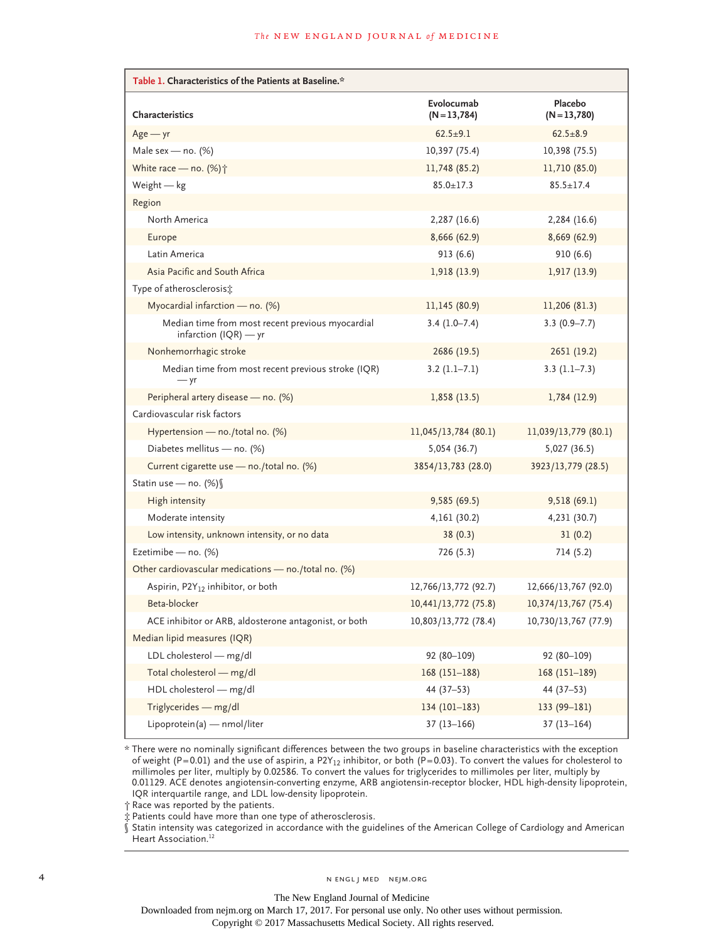| Table 1. Characteristics of the Patients at Baseline.*                      |                            |                         |
|-----------------------------------------------------------------------------|----------------------------|-------------------------|
| <b>Characteristics</b>                                                      | Evolocumab<br>$(N=13,784)$ | Placebo<br>$(N=13,780)$ |
| $Age - yr$                                                                  | $62.5 \pm 9.1$             | $62.5 \pm 8.9$          |
| Male sex — no. $(\%)$                                                       | 10,397 (75.4)              | 10,398 (75.5)           |
| White race - no. $(\%)\uparrow$                                             | 11,748 (85.2)              | 11,710 (85.0)           |
| Weight $-$ kg                                                               | $85.0 \pm 17.3$            | $85.5 \pm 17.4$         |
| Region                                                                      |                            |                         |
| North America                                                               | 2,287 (16.6)               | 2,284 (16.6)            |
| Europe                                                                      | 8,666 (62.9)               | 8,669(62.9)             |
| Latin America                                                               | 913(6.6)                   | 910(6.6)                |
| Asia Pacific and South Africa                                               | 1,918 (13.9)               | 1,917 (13.9)            |
| Type of atherosclerosis:                                                    |                            |                         |
| Myocardial infarction — no. $(%)$                                           | 11,145 (80.9)              | 11,206 (81.3)           |
| Median time from most recent previous myocardial<br>infarction $(IQR)$ — yr | $3.4(1.0 - 7.4)$           | $3.3(0.9 - 7.7)$        |
| Nonhemorrhagic stroke                                                       | 2686 (19.5)                | 2651 (19.2)             |
| Median time from most recent previous stroke (IQR)<br>$- yr$                | $3.2(1.1-7.1)$             | $3.3(1.1-7.3)$          |
| Peripheral artery disease - no. (%)                                         | 1,858(13.5)                | 1,784 (12.9)            |
| Cardiovascular risk factors                                                 |                            |                         |
| Hypertension - no./total no. (%)                                            | 11,045/13,784 (80.1)       | 11,039/13,779 (80.1)    |
| Diabetes mellitus - no. (%)                                                 | 5,054 (36.7)               | 5,027 (36.5)            |
| Current cigarette use - no./total no. (%)                                   | 3854/13,783 (28.0)         | 3923/13,779 (28.5)      |
| Statin use - no. (%) §                                                      |                            |                         |
| High intensity                                                              | 9,585 (69.5)               | 9,518(69.1)             |
| Moderate intensity                                                          | 4,161 (30.2)               | 4,231 (30.7)            |
| Low intensity, unknown intensity, or no data                                | 38(0.3)                    | 31(0.2)                 |
| Ezetimibe - no. (%)                                                         | 726 (5.3)                  | 714 (5.2)               |
| Other cardiovascular medications - no./total no. (%)                        |                            |                         |
| Aspirin, P2Y <sub>12</sub> inhibitor, or both                               | 12,766/13,772 (92.7)       | 12,666/13,767 (92.0)    |
| Beta-blocker                                                                | 10,441/13,772 (75.8)       | 10,374/13,767 (75.4)    |
| ACE inhibitor or ARB, aldosterone antagonist, or both                       | 10,803/13,772 (78.4)       | 10,730/13,767 (77.9)    |
| Median lipid measures (IQR)                                                 |                            |                         |
| LDL cholesterol - mg/dl                                                     | $92(80 - 109)$             | 92 (80-109)             |
| Total cholesterol - mg/dl                                                   | $168(151-188)$             | $168(151-189)$          |
| HDL cholesterol - mg/dl                                                     | 44 $(37-53)$               | $44(37-53)$             |
| Triglycerides - mg/dl                                                       | $134(101-183)$             | $133(99-181)$           |
| Lipoprotein(a) - nmol/liter                                                 | $37(13 - 166)$             | $37(13-164)$            |

\* There were no nominally significant differences between the two groups in baseline characteristics with the exception of weight (P=0.01) and the use of aspirin, a P2Y<sub>12</sub> inhibitor, or both (P=0.03). To convert the values for cholesterol to millimoles per liter, multiply by 0.02586. To convert the values for triglycerides to millimoles per liter, multiply by 0.01129. ACE denotes angiotensin-converting enzyme, ARB angiotensin-receptor blocker, HDL high-density lipoprotein, IQR interquartile range, and LDL low-density lipoprotein.

† Race was reported by the patients.

‡ Patients could have more than one type of atherosclerosis.

§ Statin intensity was categorized in accordance with the guidelines of the American College of Cardiology and American Heart Association.<sup>12</sup>

4 N ENGL J MED NEJM.ORG

The New England Journal of Medicine

Downloaded from nejm.org on March 17, 2017. For personal use only. No other uses without permission.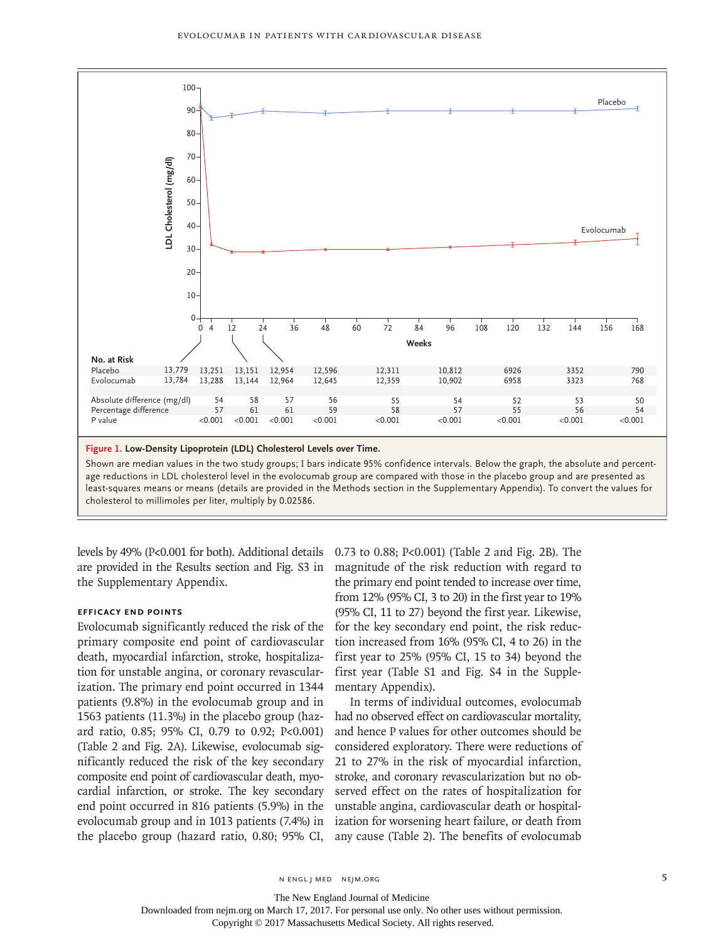

**Figure 1. Low-Density Lipoprotein (LDL) Cholesterol Levels over Time.**

Shown are median values in the two study groups; I bars indicate 95% confidence intervals. Below the graph, the absolute and percentage reductions in LDL cholesterol level in the evolocumab group are compared with those in the placebo group and are presented as least-squares means or means (details are provided in the Methods section in the Supplementary Appendix). To convert the values for

levels by 49% (P<0.001 for both). Additional details are provided in the Results section and Fig. S3 in the Supplementary Appendix.

#### **Efficacy End Points**

Evolocumab significantly reduced the risk of the primary composite end point of cardiovascular death, myocardial infarction, stroke, hospitalization for unstable angina, or coronary revascularization. The primary end point occurred in 1344 patients (9.8%) in the evolocumab group and in 1563 patients (11.3%) in the placebo group (hazard ratio, 0.85; 95% CI, 0.79 to 0.92; P<0.001) (Table 2 and Fig. 2A). Likewise, evolocumab significantly reduced the risk of the key secondary composite end point of cardiovascular death, myocardial infarction, or stroke. The key secondary end point occurred in 816 patients (5.9%) in the evolocumab group and in 1013 patients (7.4%) in the placebo group (hazard ratio, 0.80; 95% CI, 0.73 to 0.88; P<0.001) (Table 2 and Fig. 2B). The magnitude of the risk reduction with regard to the primary end point tended to increase over time, from 12% (95% CI, 3 to 20) in the first year to 19% (95% CI, 11 to 27) beyond the first year. Likewise, for the key secondary end point, the risk reduction increased from 16% (95% CI, 4 to 26) in the first year to 25% (95% CI, 15 to 34) beyond the first year (Table S1 and Fig. S4 in the Supplementary Appendix).

In terms of individual outcomes, evolocumab had no observed effect on cardiovascular mortality, and hence P values for other outcomes should be considered exploratory. There were reductions of 21 to 27% in the risk of myocardial infarction, stroke, and coronary revascularization but no observed effect on the rates of hospitalization for unstable angina, cardiovascular death or hospitalization for worsening heart failure, or death from any cause (Table 2). The benefits of evolocumab

The New England Journal of Medicine

Downloaded from nejm.org on March 17, 2017. For personal use only. No other uses without permission.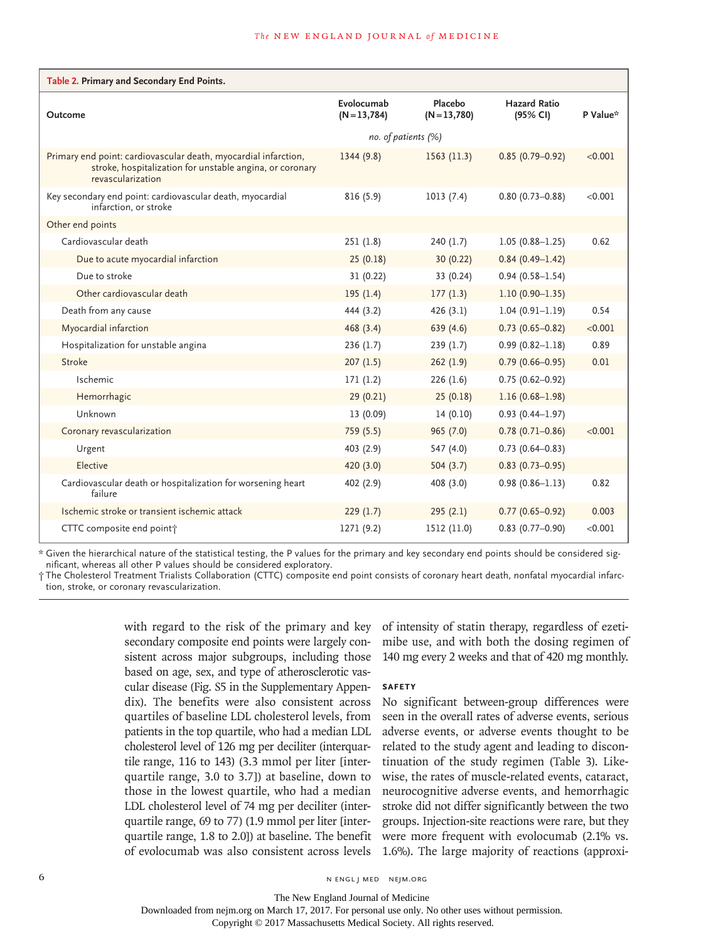| Table 2. Primary and Secondary End Points.                                                                                                       |                            |                         |                          |          |  |  |
|--------------------------------------------------------------------------------------------------------------------------------------------------|----------------------------|-------------------------|--------------------------|----------|--|--|
| Outcome                                                                                                                                          | Evolocumab<br>$(N=13,784)$ | Placebo<br>$(N=13,780)$ | Hazard Ratio<br>(95% CI) | P Value* |  |  |
|                                                                                                                                                  | no. of patients (%)        |                         |                          |          |  |  |
| Primary end point: cardiovascular death, myocardial infarction,<br>stroke, hospitalization for unstable angina, or coronary<br>revascularization | 1344(9.8)                  | 1563(11.3)              | $0.85(0.79 - 0.92)$      | < 0.001  |  |  |
| Key secondary end point: cardiovascular death, myocardial<br>infarction, or stroke                                                               | 816(5.9)                   | 1013(7.4)               | $0.80(0.73 - 0.88)$      | < 0.001  |  |  |
| Other end points                                                                                                                                 |                            |                         |                          |          |  |  |
| Cardiovascular death                                                                                                                             | 251(1.8)                   | 240(1.7)                | $1.05(0.88 - 1.25)$      | 0.62     |  |  |
| Due to acute myocardial infarction                                                                                                               | 25(0.18)                   | 30 (0.22)               | $0.84(0.49 - 1.42)$      |          |  |  |
| Due to stroke                                                                                                                                    | 31 (0.22)                  | 33 (0.24)               | $0.94(0.58 - 1.54)$      |          |  |  |
| Other cardiovascular death                                                                                                                       | 195(1.4)                   | 177(1.3)                | $1.10(0.90 - 1.35)$      |          |  |  |
| Death from any cause                                                                                                                             | 444 (3.2)                  | 426(3.1)                | $1.04(0.91 - 1.19)$      | 0.54     |  |  |
| Myocardial infarction                                                                                                                            | 468(3.4)                   | 639 (4.6)               | $0.73(0.65 - 0.82)$      | < 0.001  |  |  |
| Hospitalization for unstable angina                                                                                                              | 236(1.7)                   | 239(1.7)                | $0.99(0.82 - 1.18)$      | 0.89     |  |  |
| Stroke                                                                                                                                           | 207(1.5)                   | 262(1.9)                | $0.79(0.66 - 0.95)$      | 0.01     |  |  |
| Ischemic                                                                                                                                         | 171(1.2)                   | 226(1.6)                | $0.75(0.62 - 0.92)$      |          |  |  |
| Hemorrhagic                                                                                                                                      | 29(0.21)                   | 25(0.18)                | $1.16(0.68 - 1.98)$      |          |  |  |
| Unknown                                                                                                                                          | 13 (0.09)                  | 14(0.10)                | $0.93(0.44 - 1.97)$      |          |  |  |
| Coronary revascularization                                                                                                                       | 759(5.5)                   | 965(7.0)                | $0.78(0.71 - 0.86)$      | < 0.001  |  |  |
| Urgent                                                                                                                                           | 403 (2.9)                  | 547 (4.0)               | $0.73$ (0.64-0.83)       |          |  |  |
| Elective                                                                                                                                         | 420 (3.0)                  | 504(3.7)                | $0.83(0.73 - 0.95)$      |          |  |  |
| Cardiovascular death or hospitalization for worsening heart<br>failure                                                                           | 402 (2.9)                  | 408 (3.0)               | $0.98(0.86 - 1.13)$      | 0.82     |  |  |
| Ischemic stroke or transient ischemic attack                                                                                                     | 229(1.7)                   | 295(2.1)                | $0.77(0.65 - 0.92)$      | 0.003    |  |  |
| CTTC composite end point†                                                                                                                        | 1271 (9.2)                 | 1512 (11.0)             | $0.83(0.77-0.90)$        | < 0.001  |  |  |

\* Given the hierarchical nature of the statistical testing, the P values for the primary and key secondary end points should be considered significant, whereas all other P values should be considered exploratory.

† The Cholesterol Treatment Trialists Collaboration (CTTC) composite end point consists of coronary heart death, nonfatal myocardial infarction, stroke, or coronary revascularization.

> with regard to the risk of the primary and key secondary composite end points were largely consistent across major subgroups, including those based on age, sex, and type of atherosclerotic vascular disease (Fig. S5 in the Supplementary Appendix). The benefits were also consistent across quartiles of baseline LDL cholesterol levels, from patients in the top quartile, who had a median LDL cholesterol level of 126 mg per deciliter (interquartile range, 116 to 143) (3.3 mmol per liter [interquartile range, 3.0 to 3.7]) at baseline, down to those in the lowest quartile, who had a median LDL cholesterol level of 74 mg per deciliter (interquartile range, 69 to 77) (1.9 mmol per liter [interquartile range, 1.8 to 2.0]) at baseline. The benefit of evolocumab was also consistent across levels

of intensity of statin therapy, regardless of ezetimibe use, and with both the dosing regimen of 140 mg every 2 weeks and that of 420 mg monthly.

#### **Safety**

No significant between-group differences were seen in the overall rates of adverse events, serious adverse events, or adverse events thought to be related to the study agent and leading to discontinuation of the study regimen (Table 3). Likewise, the rates of muscle-related events, cataract, neurocognitive adverse events, and hemorrhagic stroke did not differ significantly between the two groups. Injection-site reactions were rare, but they were more frequent with evolocumab (2.1% vs. 1.6%). The large majority of reactions (approxi-

The New England Journal of Medicine

Downloaded from nejm.org on March 17, 2017. For personal use only. No other uses without permission.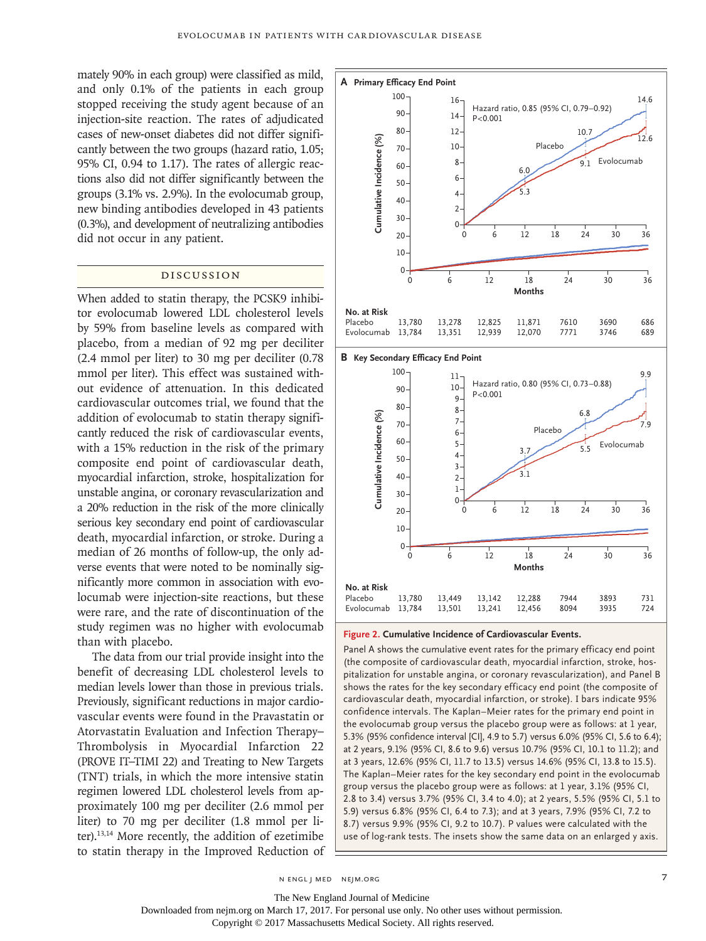mately 90% in each group) were classified as mild, and only 0.1% of the patients in each group stopped receiving the study agent because of an injection-site reaction. The rates of adjudicated cases of new-onset diabetes did not differ significantly between the two groups (hazard ratio, 1.05; 95% CI, 0.94 to 1.17). The rates of allergic reactions also did not differ significantly between the groups (3.1% vs. 2.9%). In the evolocumab group, new binding antibodies developed in 43 patients (0.3%), and development of neutralizing antibodies did not occur in any patient.

# Discussion

When added to statin therapy, the PCSK9 inhibitor evolocumab lowered LDL cholesterol levels by 59% from baseline levels as compared with placebo, from a median of 92 mg per deciliter (2.4 mmol per liter) to 30 mg per deciliter (0.78 mmol per liter). This effect was sustained without evidence of attenuation. In this dedicated cardiovascular outcomes trial, we found that the addition of evolocumab to statin therapy significantly reduced the risk of cardiovascular events, with a 15% reduction in the risk of the primary composite end point of cardiovascular death, myocardial infarction, stroke, hospitalization for unstable angina, or coronary revascularization and a 20% reduction in the risk of the more clinically serious key secondary end point of cardiovascular death, myocardial infarction, or stroke. During a median of 26 months of follow-up, the only adverse events that were noted to be nominally significantly more common in association with evolocumab were injection-site reactions, but these were rare, and the rate of discontinuation of the study regimen was no higher with evolocumab than with placebo.

The data from our trial provide insight into the benefit of decreasing LDL cholesterol levels to median levels lower than those in previous trials. Previously, significant reductions in major cardiovascular events were found in the Pravastatin or Atorvastatin Evaluation and Infection Therapy– Thrombolysis in Myocardial Infarction 22 (PROVE IT–TIMI 22) and Treating to New Targets (TNT) trials, in which the more intensive statin regimen lowered LDL cholesterol levels from approximately 100 mg per deciliter (2.6 mmol per liter) to 70 mg per deciliter (1.8 mmol per liter).13,14 More recently, the addition of ezetimibe to statin therapy in the Improved Reduction of



#### **Figure 2. Cumulative Incidence of Cardiovascular Events.**

Panel A shows the cumulative event rates for the primary efficacy end point (the composite of cardiovascular death, myocardial infarction, stroke, hospitalization for unstable angina, or coronary revascularization), and Panel B shows the rates for the key secondary efficacy end point (the composite of cardiovascular death, myocardial infarction, or stroke). I bars indicate 95% confidence intervals. The Kaplan–Meier rates for the primary end point in the evolocumab group versus the placebo group were as follows: at 1 year, 5.3% (95% confidence interval [CI], 4.9 to 5.7) versus 6.0% (95% CI, 5.6 to 6.4); at 2 years, 9.1% (95% CI, 8.6 to 9.6) versus 10.7% (95% CI, 10.1 to 11.2); and at 3 years, 12.6% (95% CI, 11.7 to 13.5) versus 14.6% (95% CI, 13.8 to 15.5). The Kaplan–Meier rates for the key secondary end point in the evolocumab group versus the placebo group were as follows: at 1 year, 3.1% (95% CI, 2.8 to 3.4) versus 3.7% (95% CI, 3.4 to 4.0); at 2 years, 5.5% (95% CI, 5.1 to 5.9) versus 6.8% (95% CI, 6.4 to 7.3); and at 3 years, 7.9% (95% CI, 7.2 to 8.7) versus 9.9% (95% CI, 9.2 to 10.7). P values were calculated with the

n engl j med nejm.org 7

The New England Journal of Medicine

Downloaded from nejm.org on March 17, 2017. For personal use only. No other uses without permission.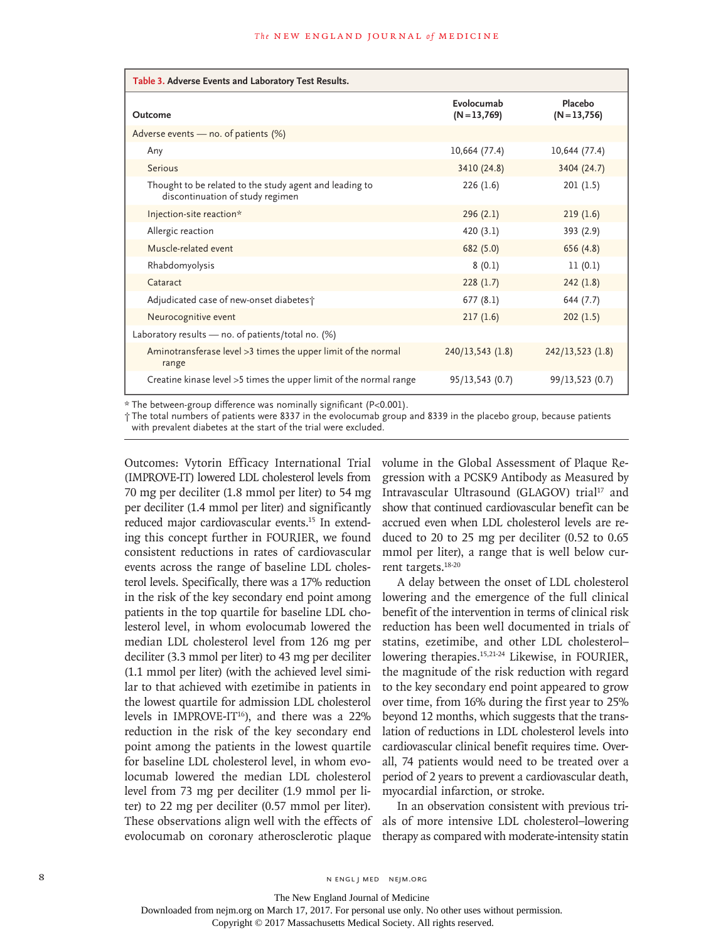| Table 3. Adverse Events and Laboratory Test Results.                                        |                            |                            |  |  |
|---------------------------------------------------------------------------------------------|----------------------------|----------------------------|--|--|
| Outcome                                                                                     | Evolocumab<br>$(N=13,769)$ | Placebo<br>$(N = 13, 756)$ |  |  |
| Adverse events - no. of patients $(\%)$                                                     |                            |                            |  |  |
| Any                                                                                         | 10,664 (77.4)              | 10,644 (77.4)              |  |  |
| Serious                                                                                     | 3410 (24.8)                | 3404 (24.7)                |  |  |
| Thought to be related to the study agent and leading to<br>discontinuation of study regimen | 226(1.6)                   | 201(1.5)                   |  |  |
| Injection-site reaction*                                                                    | 296(2.1)                   | 219(1.6)                   |  |  |
| Allergic reaction                                                                           | 420(3.1)                   | 393 (2.9)                  |  |  |
| Muscle-related event                                                                        | 682 (5.0)                  | 656 (4.8)                  |  |  |
| Rhabdomyolysis                                                                              | 8(0.1)                     | 11(0.1)                    |  |  |
| Cataract                                                                                    | 228(1.7)                   | 242(1.8)                   |  |  |
| Adjudicated case of new-onset diabetes;                                                     | 677(8.1)                   | 644 (7.7)                  |  |  |
| Neurocognitive event                                                                        | 217(1.6)                   | 202(1.5)                   |  |  |
| Laboratory results $-$ no. of patients/total no. (%)                                        |                            |                            |  |  |
| Aminotransferase level > 3 times the upper limit of the normal<br>range                     | 240/13,543(1.8)            | 242/13,523(1.8)            |  |  |
| Creatine kinase level > 5 times the upper limit of the normal range                         | 95/13,543(0.7)             | 99/13,523 (0.7)            |  |  |

\* The between-group difference was nominally significant (P<0.001).

† The total numbers of patients were 8337 in the evolocumab group and 8339 in the placebo group, because patients with prevalent diabetes at the start of the trial were excluded.

Outcomes: Vytorin Efficacy International Trial (IMPROVE-IT) lowered LDL cholesterol levels from 70 mg per deciliter (1.8 mmol per liter) to 54 mg per deciliter (1.4 mmol per liter) and significantly reduced major cardiovascular events.15 In extending this concept further in FOURIER, we found consistent reductions in rates of cardiovascular events across the range of baseline LDL cholesterol levels. Specifically, there was a 17% reduction in the risk of the key secondary end point among patients in the top quartile for baseline LDL cholesterol level, in whom evolocumab lowered the median LDL cholesterol level from 126 mg per deciliter (3.3 mmol per liter) to 43 mg per deciliter (1.1 mmol per liter) (with the achieved level similar to that achieved with ezetimibe in patients in the lowest quartile for admission LDL cholesterol levels in IMPROVE-IT $16$ ), and there was a 22% reduction in the risk of the key secondary end point among the patients in the lowest quartile for baseline LDL cholesterol level, in whom evolocumab lowered the median LDL cholesterol level from 73 mg per deciliter (1.9 mmol per liter) to 22 mg per deciliter (0.57 mmol per liter). These observations align well with the effects of evolocumab on coronary atherosclerotic plaque

volume in the Global Assessment of Plaque Regression with a PCSK9 Antibody as Measured by Intravascular Ultrasound (GLAGOV) trial<sup>17</sup> and show that continued cardiovascular benefit can be accrued even when LDL cholesterol levels are reduced to 20 to 25 mg per deciliter (0.52 to 0.65 mmol per liter), a range that is well below current targets.18-20

A delay between the onset of LDL cholesterol lowering and the emergence of the full clinical benefit of the intervention in terms of clinical risk reduction has been well documented in trials of statins, ezetimibe, and other LDL cholesterol– lowering therapies.<sup>15,21-24</sup> Likewise, in FOURIER, the magnitude of the risk reduction with regard to the key secondary end point appeared to grow over time, from 16% during the first year to 25% beyond 12 months, which suggests that the translation of reductions in LDL cholesterol levels into cardiovascular clinical benefit requires time. Overall, 74 patients would need to be treated over a period of 2 years to prevent a cardiovascular death, myocardial infarction, or stroke.

In an observation consistent with previous trials of more intensive LDL cholesterol–lowering therapy as compared with moderate-intensity statin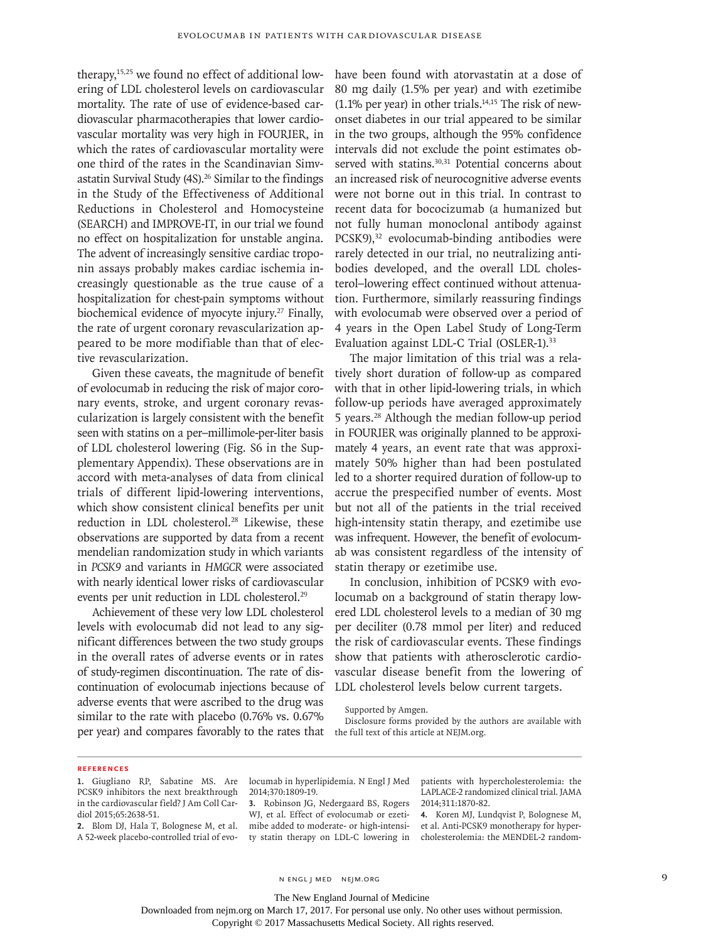therapy,15,25 we found no effect of additional lowering of LDL cholesterol levels on cardiovascular mortality. The rate of use of evidence-based cardiovascular pharmacotherapies that lower cardiovascular mortality was very high in FOURIER, in which the rates of cardiovascular mortality were one third of the rates in the Scandinavian Simvastatin Survival Study (4S).<sup>26</sup> Similar to the findings in the Study of the Effectiveness of Additional Reductions in Cholesterol and Homocysteine (SEARCH) and IMPROVE-IT, in our trial we found no effect on hospitalization for unstable angina. The advent of increasingly sensitive cardiac troponin assays probably makes cardiac ischemia increasingly questionable as the true cause of a hospitalization for chest-pain symptoms without biochemical evidence of myocyte injury.<sup>27</sup> Finally, the rate of urgent coronary revascularization appeared to be more modifiable than that of elective revascularization.

Given these caveats, the magnitude of benefit of evolocumab in reducing the risk of major coronary events, stroke, and urgent coronary revascularization is largely consistent with the benefit seen with statins on a per–millimole-per-liter basis of LDL cholesterol lowering (Fig. S6 in the Supplementary Appendix). These observations are in accord with meta-analyses of data from clinical trials of different lipid-lowering interventions, which show consistent clinical benefits per unit reduction in LDL cholesterol.<sup>28</sup> Likewise, these observations are supported by data from a recent mendelian randomization study in which variants in *PCSK9* and variants in *HMGCR* were associated with nearly identical lower risks of cardiovascular events per unit reduction in LDL cholesterol.<sup>29</sup>

Achievement of these very low LDL cholesterol levels with evolocumab did not lead to any significant differences between the two study groups in the overall rates of adverse events or in rates of study-regimen discontinuation. The rate of discontinuation of evolocumab injections because of adverse events that were ascribed to the drug was similar to the rate with placebo (0.76% vs. 0.67% per year) and compares favorably to the rates that

have been found with atorvastatin at a dose of 80 mg daily (1.5% per year) and with ezetimibe (1.1% per year) in other trials. $14,15$  The risk of newonset diabetes in our trial appeared to be similar in the two groups, although the 95% confidence intervals did not exclude the point estimates observed with statins.<sup>30,31</sup> Potential concerns about an increased risk of neurocognitive adverse events were not borne out in this trial. In contrast to recent data for bococizumab (a humanized but not fully human monoclonal antibody against PCSK9),<sup>32</sup> evolocumab-binding antibodies were rarely detected in our trial, no neutralizing antibodies developed, and the overall LDL cholesterol–lowering effect continued without attenuation. Furthermore, similarly reassuring findings with evolocumab were observed over a period of 4 years in the Open Label Study of Long-Term Evaluation against LDL-C Trial (OSLER-1).<sup>33</sup>

The major limitation of this trial was a relatively short duration of follow-up as compared with that in other lipid-lowering trials, in which follow-up periods have averaged approximately 5 years.28 Although the median follow-up period in FOURIER was originally planned to be approximately 4 years, an event rate that was approximately 50% higher than had been postulated led to a shorter required duration of follow-up to accrue the prespecified number of events. Most but not all of the patients in the trial received high-intensity statin therapy, and ezetimibe use was infrequent. However, the benefit of evolocumab was consistent regardless of the intensity of statin therapy or ezetimibe use.

In conclusion, inhibition of PCSK9 with evolocumab on a background of statin therapy lowered LDL cholesterol levels to a median of 30 mg per deciliter (0.78 mmol per liter) and reduced the risk of cardiovascular events. These findings show that patients with atherosclerotic cardiovascular disease benefit from the lowering of LDL cholesterol levels below current targets.

Disclosure forms provided by the authors are available with the full text of this article at NEJM.org.

#### **References**

**2.** Blom DJ, Hala T, Bolognese M, et al. A 52-week placebo-controlled trial of evolocumab in hyperlipidemia. N Engl J Med 2014;370:1809-19.

**3.** Robinson JG, Nedergaard BS, Rogers WJ, et al. Effect of evolocumab or ezetimibe added to moderate- or high-intensity statin therapy on LDL-C lowering in patients with hypercholesterolemia: the LAPLACE-2 randomized clinical trial. JAMA 2014;311:1870-82.

**4.** Koren MJ, Lundqvist P, Bolognese M, et al. Anti-PCSK9 monotherapy for hypercholesterolemia: the MENDEL-2 random-

n engl j med nejm.org 9

Downloaded from nejm.org on March 17, 2017. For personal use only. No other uses without permission.

Supported by Amgen.

**<sup>1.</sup>** Giugliano RP, Sabatine MS. Are PCSK9 inhibitors the next breakthrough in the cardiovascular field? J Am Coll Cardiol 2015;65:2638-51.